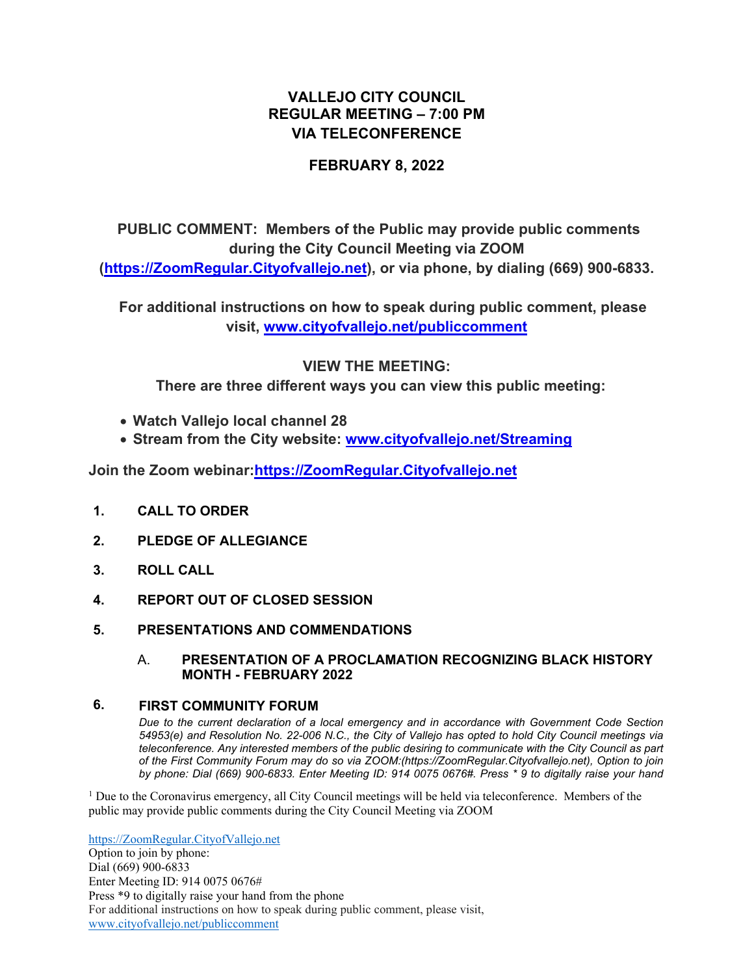# **VALLEJO CITY COUNCIL REGULAR MEETING – 7:00 PM VIA TELECONFERENCE**

## **FEBRUARY 8, 2022**

# **PUBLIC COMMENT: Members of the Public may provide public comments during the City Council Meeting via ZOOM ([https://ZoomRegular.Cityofvallejo.net\)](https://zoomregular.cityofvallejo.net/), or via phone, by dialing (669) 900-6833.**

 **For additional instructions on how to speak during public comment, please visit, [www.cityofvallejo.net/publiccomment](http://www.cityofvallejo.net/publiccomment)**

### **VIEW THE MEETING:**

 **There are three different ways you can view this public meeting:**

- **Watch Vallejo local channel 28**
- **Stream from the City website: [www.cityofvallejo.net/Streaming](https://www.cityofvallejo.net/Streaming)**

**Join the Zoom webinar:[https://ZoomRegular.Cityofvallejo.net](https://zoomregular.cityofvallejo.net/)**

- **1. CALL TO ORDER**
- **2. PLEDGE OF ALLEGIANCE**
- **3. ROLL CALL**
- **4. REPORT OUT OF CLOSED SESSION**
- **5. PRESENTATIONS AND COMMENDATIONS**

#### A. **PRESENTATION OF A PROCLAMATION RECOGNIZING BLACK HISTORY MONTH - FEBRUARY 2022**

### **6. FIRST COMMUNITY FORUM**

*Due to the current declaration of a local emergency and in accordance with Government Code Section 54953(e) and Resolution No. 22-006 N.C., the City of Vallejo has opted to hold City Council meetings via teleconference. Any interested members of the public desiring to communicate with the City Council as part of the First Community Forum may do so via ZOOM:(https://ZoomRegular.Cityofvallejo.net), Option to join by phone: Dial (669) 900-6833. Enter Meeting ID: 914 0075 0676#. Press \* 9 to digitally raise your hand* 

<sup>1</sup> Due to the Coronavirus emergency, all City Council meetings will be held via teleconference. Members of the public may provide public comments during the City Council Meeting via ZOOM

[https://ZoomRegular.CityofVallejo.net](https://zoomregular.cityofvallejo.net/) Option to join by phone: Dial (669) 900-6833 Enter Meeting ID: 914 0075 0676# Press \*9 to digitally raise your hand from the phone For additional instructions on how to speak during public comment, please visit, [www.cityofvallejo.net/publiccomment](http://www.cityofvallejo.net/publiccomment)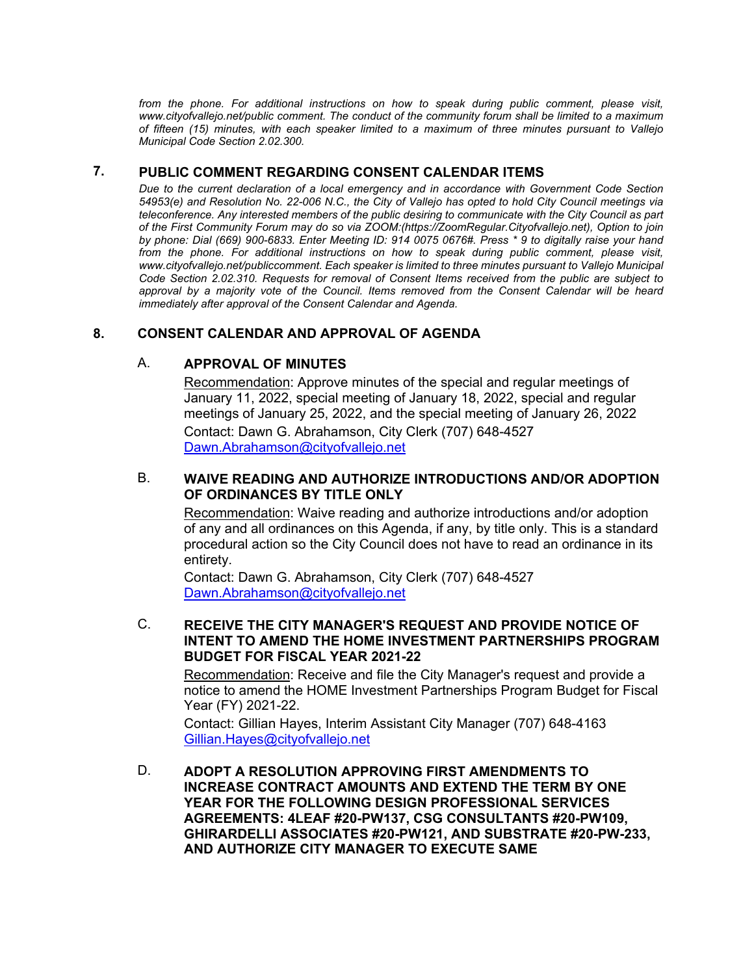from the phone. For additional instructions on how to speak during public comment, please visit, *www.cityofvallejo.net/public comment. The conduct of the community forum shall be limited to a maximum of fifteen (15) minutes, with each speaker limited to a maximum of three minutes pursuant to Vallejo Municipal Code Section 2.02.300.* 

### **7. PUBLIC COMMENT REGARDING CONSENT CALENDAR ITEMS**

*Due to the current declaration of a local emergency and in accordance with Government Code Section 54953(e) and Resolution No. 22-006 N.C., the City of Vallejo has opted to hold City Council meetings via teleconference. Any interested members of the public desiring to communicate with the City Council as part of the First Community Forum may do so via ZOOM:(https://ZoomRegular.Cityofvallejo.net), Option to join by phone: Dial (669) 900-6833. Enter Meeting ID: 914 0075 0676#. Press \* 9 to digitally raise your hand*  from the phone. For additional instructions on how to speak during public comment, please visit, *www.cityofvallejo.net/publiccomment. Each speaker is limited to three minutes pursuant to Vallejo Municipal Code Section 2.02.310. Requests for removal of Consent Items received from the public are subject to approval by a majority vote of the Council. Items removed from the Consent Calendar will be heard immediately after approval of the Consent Calendar and Agenda.*

### **8. CONSENT CALENDAR AND APPROVAL OF AGENDA**

### A. **APPROVAL OF MINUTES**

Recommendation: Approve minutes of the special and regular meetings of January 11, 2022, special meeting of January 18, 2022, special and regular meetings of January 25, 2022, and the special meeting of January 26, 2022 Contact: Dawn G. Abrahamson, City Clerk (707) 648-4527 [Dawn.Abrahamson@cityofvallejo.net](mailto:Dawn.Abrahamson@cityofvallejo.net)

### B. **WAIVE READING AND AUTHORIZE INTRODUCTIONS AND/OR ADOPTION OF ORDINANCES BY TITLE ONLY**

Recommendation: Waive reading and authorize introductions and/or adoption of any and all ordinances on this Agenda, if any, by title only. This is a standard procedural action so the City Council does not have to read an ordinance in its entirety.

Contact: Dawn G. Abrahamson, City Clerk (707) 648-4527 [Dawn.Abrahamson@cityofvallejo.net](mailto:Dawn.Abrahamson@cityofvallejo.net)

### C. **RECEIVE THE CITY MANAGER'S REQUEST AND PROVIDE NOTICE OF INTENT TO AMEND THE HOME INVESTMENT PARTNERSHIPS PROGRAM BUDGET FOR FISCAL YEAR 2021-22**

Recommendation: Receive and file the City Manager's request and provide a notice to amend the HOME Investment Partnerships Program Budget for Fiscal Year (FY) 2021-22.

Contact: Gillian Hayes, Interim Assistant City Manager (707) 648-4163 [Gillian.Hayes@cityofvallejo.net](mailto:Gillian.Hayes@cityofvallejo.net)

D. **ADOPT A RESOLUTION APPROVING FIRST AMENDMENTS TO INCREASE CONTRACT AMOUNTS AND EXTEND THE TERM BY ONE YEAR FOR THE FOLLOWING DESIGN PROFESSIONAL SERVICES AGREEMENTS: 4LEAF #20-PW137, CSG CONSULTANTS #20-PW109, GHIRARDELLI ASSOCIATES #20-PW121, AND SUBSTRATE #20-PW-233, AND AUTHORIZE CITY MANAGER TO EXECUTE SAME**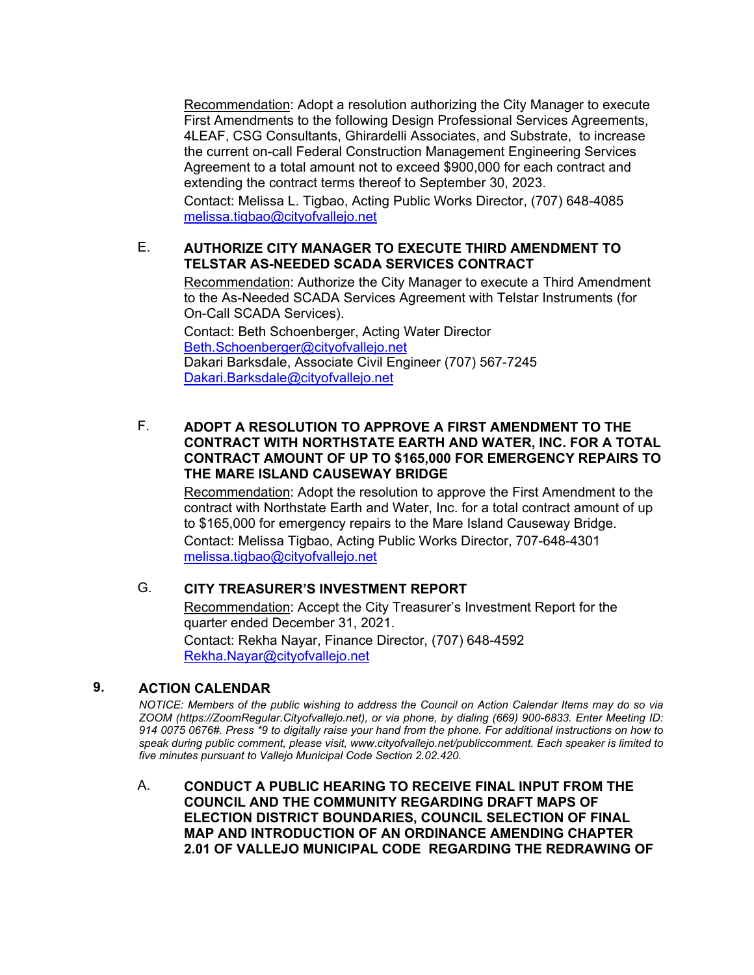Recommendation: Adopt a resolution authorizing the City Manager to execute First Amendments to the following Design Professional Services Agreements, 4LEAF, CSG Consultants, Ghirardelli Associates, and Substrate, to increase the current on-call Federal Construction Management Engineering Services Agreement to a total amount not to exceed \$900,000 for each contract and extending the contract terms thereof to September 30, 2023.

Contact: Melissa L. Tigbao, Acting Public Works Director, (707) 648-4085 [melissa.tigbao@cityofvallejo.net](mailto:melissa.tigbao@cityofvallejo.net)

### E. **AUTHORIZE CITY MANAGER TO EXECUTE THIRD AMENDMENT TO TELSTAR AS-NEEDED SCADA SERVICES CONTRACT**

Recommendation: Authorize the City Manager to execute a Third Amendment to the As-Needed SCADA Services Agreement with Telstar Instruments (for On-Call SCADA Services).

Contact: Beth Schoenberger, Acting Water Director [Beth.Schoenberger@cityofvallejo.net](mailto:Beth.Schoenberger@cityofvallejo.net) Dakari Barksdale, Associate Civil Engineer (707) 567-7245 [Dakari.Barksdale@cityofvallejo.net](mailto:Dakari.Barksdale@cityofvallejo.net)

### F. **ADOPT A RESOLUTION TO APPROVE A FIRST AMENDMENT TO THE CONTRACT WITH NORTHSTATE EARTH AND WATER, INC. FOR A TOTAL CONTRACT AMOUNT OF UP TO \$165,000 FOR EMERGENCY REPAIRS TO THE MARE ISLAND CAUSEWAY BRIDGE**

Recommendation: Adopt the resolution to approve the First Amendment to the contract with Northstate Earth and Water, Inc. for a total contract amount of up to \$165,000 for emergency repairs to the Mare Island Causeway Bridge. Contact: Melissa Tigbao, Acting Public Works Director, 707-648-4301 [melissa.tigbao@cityofvallejo.net](mailto:melissa.tigbao@cityofvallejo.net)

### G. **CITY TREASURER'S INVESTMENT REPORT**

Recommendation: Accept the City Treasurer's Investment Report for the quarter ended December 31, 2021. Contact: Rekha Nayar, Finance Director, (707) 648-4592 [Rekha.Nayar@cityofvallejo.net](http://)

### **9. ACTION CALENDAR**

*NOTICE: Members of the public wishing to address the Council on Action Calendar Items may do so via ZOOM (https://ZoomRegular.Cityofvallejo.net), or via phone, by dialing (669) 900-6833. Enter Meeting ID: 914 0075 0676#. Press \*9 to digitally raise your hand from the phone. For additional instructions on how to speak during public comment, please visit, www.cityofvallejo.net/publiccomment. Each speaker is limited to five minutes pursuant to Vallejo Municipal Code Section 2.02.420.* 

A. **CONDUCT A PUBLIC HEARING TO RECEIVE FINAL INPUT FROM THE COUNCIL AND THE COMMUNITY REGARDING DRAFT MAPS OF ELECTION DISTRICT BOUNDARIES, COUNCIL SELECTION OF FINAL MAP AND INTRODUCTION OF AN ORDINANCE AMENDING CHAPTER 2.01 OF VALLEJO MUNICIPAL CODE REGARDING THE REDRAWING OF**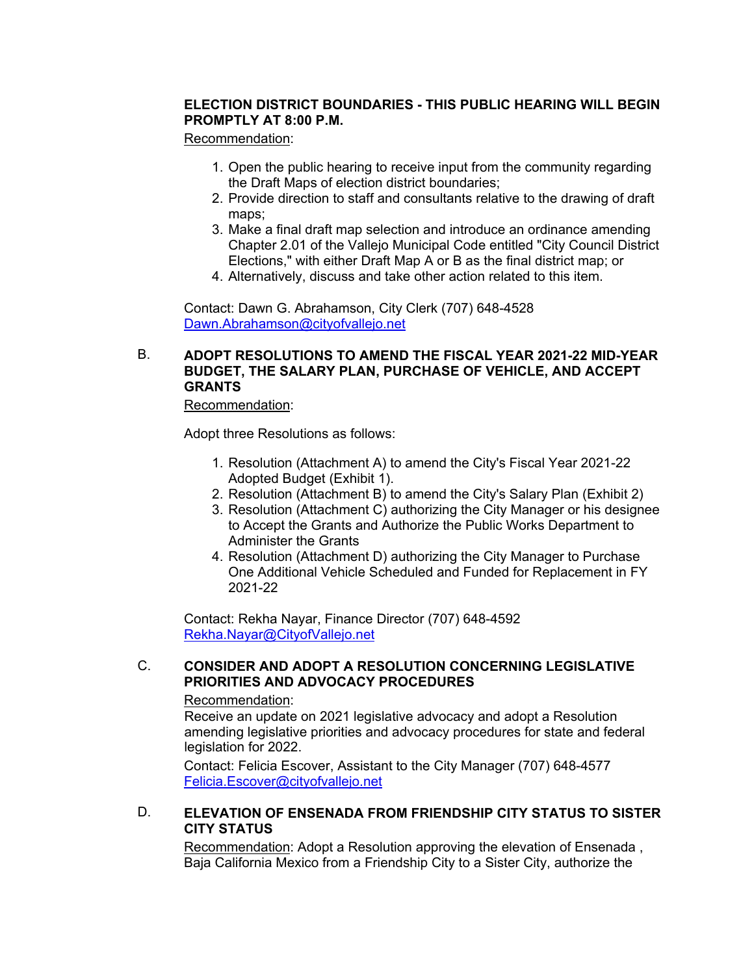### **ELECTION DISTRICT BOUNDARIES - THIS PUBLIC HEARING WILL BEGIN PROMPTLY AT 8:00 P.M.**

#### Recommendation:

- 1. Open the public hearing to receive input from the community regarding the Draft Maps of election district boundaries;
- 2. Provide direction to staff and consultants relative to the drawing of draft maps;
- 3. Make a final draft map selection and introduce an ordinance amending Chapter 2.01 of the Vallejo Municipal Code entitled "City Council District Elections," with either Draft Map A or B as the final district map; or
- 4. Alternatively, discuss and take other action related to this item.

Contact: Dawn G. Abrahamson, City Clerk (707) 648-4528 [Dawn.Abrahamson@cityofvallejo.net](mailto:Dawn.Abrahamson@cityofvallejo.net)

### B. **ADOPT RESOLUTIONS TO AMEND THE FISCAL YEAR 2021-22 MID-YEAR BUDGET, THE SALARY PLAN, PURCHASE OF VEHICLE, AND ACCEPT GRANTS**

#### Recommendation:

Adopt three Resolutions as follows:

- 1. Resolution (Attachment A) to amend the City's Fiscal Year 2021-22 Adopted Budget (Exhibit 1).
- 2. Resolution (Attachment B) to amend the City's Salary Plan (Exhibit 2)
- 3. Resolution (Attachment C) authorizing the City Manager or his designee to Accept the Grants and Authorize the Public Works Department to Administer the Grants
- 4. Resolution (Attachment D) authorizing the City Manager to Purchase One Additional Vehicle Scheduled and Funded for Replacement in FY 2021-22

Contact: Rekha Nayar, Finance Director (707) 648-4592 [Rekha.Nayar@CityofVallejo.net](mailto:Ron.Millard@cityofvallejo.net)

### C. **CONSIDER AND ADOPT A RESOLUTION CONCERNING LEGISLATIVE PRIORITIES AND ADVOCACY PROCEDURES**

#### Recommendation:

Receive an update on 2021 legislative advocacy and adopt a Resolution amending legislative priorities and advocacy procedures for state and federal legislation for 2022.

Contact: Felicia Escover, Assistant to the City Manager (707) 648-4577 [Felicia.Escover@cityofvallejo.net](mailto:Felicia.Escover@cityofvallejo.net)

### D. **ELEVATION OF ENSENADA FROM FRIENDSHIP CITY STATUS TO SISTER CITY STATUS**

Recommendation: Adopt a Resolution approving the elevation of Ensenada , Baja California Mexico from a Friendship City to a Sister City, authorize the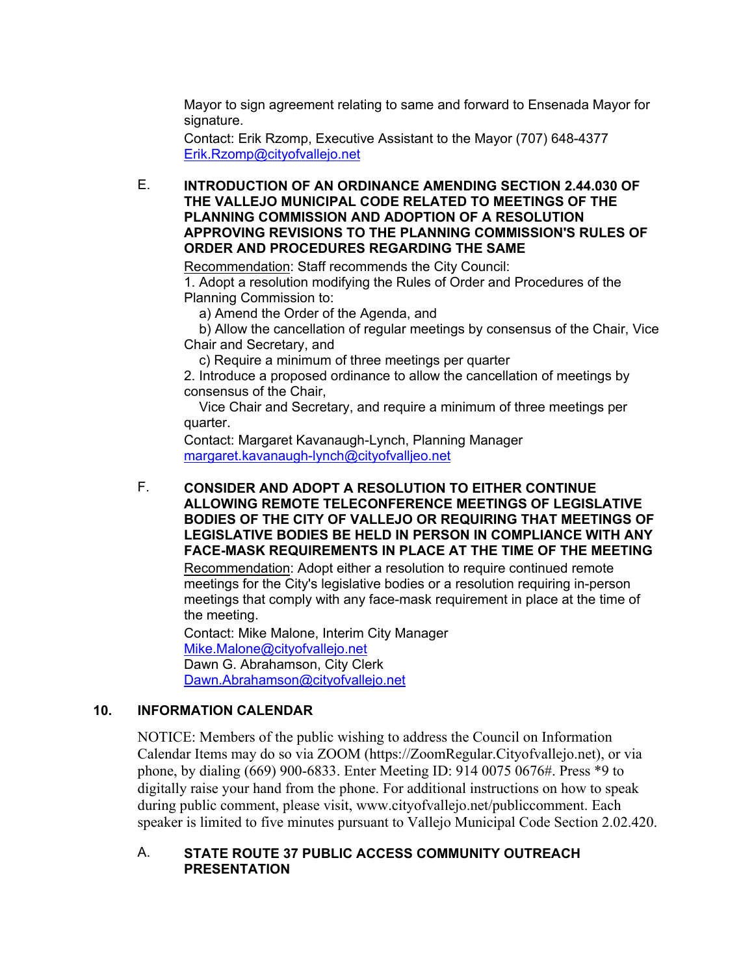Mayor to sign agreement relating to same and forward to Ensenada Mayor for signature.

Contact: Erik Rzomp, Executive Assistant to the Mayor (707) 648-4377 [Erik.Rzomp@cityofvallejo.net](mailto:Erik.Rzomp@cityofvallejo.net)

E. **INTRODUCTION OF AN ORDINANCE AMENDING SECTION 2.44.030 OF THE VALLEJO MUNICIPAL CODE RELATED TO MEETINGS OF THE PLANNING COMMISSION AND ADOPTION OF A RESOLUTION APPROVING REVISIONS TO THE PLANNING COMMISSION'S RULES OF ORDER AND PROCEDURES REGARDING THE SAME**

Recommendation: Staff recommends the City Council: 1. Adopt a resolution modifying the Rules of Order and Procedures of the Planning Commission to:

a) Amend the Order of the Agenda, and

 b) Allow the cancellation of regular meetings by consensus of the Chair, Vice Chair and Secretary, and

c) Require a minimum of three meetings per quarter

2. Introduce a proposed ordinance to allow the cancellation of meetings by consensus of the Chair,

 Vice Chair and Secretary, and require a minimum of three meetings per quarter.

Contact: Margaret Kavanaugh-Lynch, Planning Manager [margaret.kavanaugh-lynch@cityofvalljeo.net](mailto:margaret.kavanaugh-lynch@cityofvalljeo.net)

F. **CONSIDER AND ADOPT A RESOLUTION TO EITHER CONTINUE ALLOWING REMOTE TELECONFERENCE MEETINGS OF LEGISLATIVE BODIES OF THE CITY OF VALLEJO OR REQUIRING THAT MEETINGS OF LEGISLATIVE BODIES BE HELD IN PERSON IN COMPLIANCE WITH ANY FACE-MASK REQUIREMENTS IN PLACE AT THE TIME OF THE MEETING** 

Recommendation: Adopt either a resolution to require continued remote meetings for the City's legislative bodies or a resolution requiring in-person meetings that comply with any face-mask requirement in place at the time of the meeting.

Contact: Mike Malone, Interim City Manager [Mike.Malone@cityofvallejo.net](mailto:Mike.Malone@cityofvallejo.net) Dawn G. Abrahamson, City Clerk [Dawn.Abrahamson@cityofvallejo.net](mailto:Dawn.Abrahamson@cityofvallejo.net)

### **10. INFORMATION CALENDAR**

NOTICE: Members of the public wishing to address the Council on Information Calendar Items may do so via ZOOM (https://ZoomRegular.Cityofvallejo.net), or via phone, by dialing (669) 900-6833. Enter Meeting ID: 914 0075 0676#. Press \*9 to digitally raise your hand from the phone. For additional instructions on how to speak during public comment, please visit, www.cityofvallejo.net/publiccomment. Each speaker is limited to five minutes pursuant to Vallejo Municipal Code Section 2.02.420.

### A. **STATE ROUTE 37 PUBLIC ACCESS COMMUNITY OUTREACH PRESENTATION**